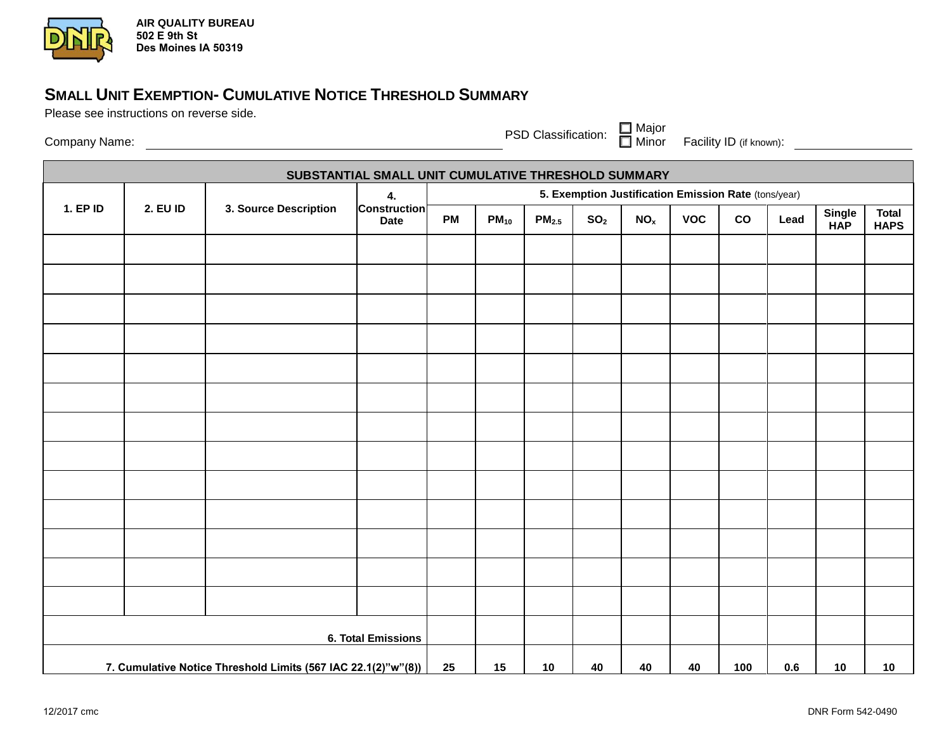

**AIR QUALITY BUREAU 502 E 9th St Des Moines IA 50319**

## **SMALL UNIT EXEMPTION- CUMULATIVE NOTICE THRESHOLD SUMMARY**

Please see instructions on reverse side.

Company Name: PSD Classification:

Major Minor Facility ID (if known):

| SUBSTANTIAL SMALL UNIT CUMULATIVE THRESHOLD SUMMARY           |                 |                       |                                          |                                                      |           |                   |                 |                 |            |     |      |               |                             |
|---------------------------------------------------------------|-----------------|-----------------------|------------------------------------------|------------------------------------------------------|-----------|-------------------|-----------------|-----------------|------------|-----|------|---------------|-----------------------------|
| 1. EP ID                                                      | <b>2. EU ID</b> | 3. Source Description | 4.<br><b>Construction</b><br><b>Date</b> | 5. Exemption Justification Emission Rate (tons/year) |           |                   |                 |                 |            |     |      |               |                             |
|                                                               |                 |                       |                                          | <b>PM</b>                                            | $PM_{10}$ | PM <sub>2.5</sub> | SO <sub>2</sub> | NO <sub>x</sub> | <b>VOC</b> | co  | Lead | Single<br>HAP | <b>Total</b><br><b>HAPS</b> |
|                                                               |                 |                       |                                          |                                                      |           |                   |                 |                 |            |     |      |               |                             |
|                                                               |                 |                       |                                          |                                                      |           |                   |                 |                 |            |     |      |               |                             |
|                                                               |                 |                       |                                          |                                                      |           |                   |                 |                 |            |     |      |               |                             |
|                                                               |                 |                       |                                          |                                                      |           |                   |                 |                 |            |     |      |               |                             |
|                                                               |                 |                       |                                          |                                                      |           |                   |                 |                 |            |     |      |               |                             |
|                                                               |                 |                       |                                          |                                                      |           |                   |                 |                 |            |     |      |               |                             |
|                                                               |                 |                       |                                          |                                                      |           |                   |                 |                 |            |     |      |               |                             |
|                                                               |                 |                       |                                          |                                                      |           |                   |                 |                 |            |     |      |               |                             |
|                                                               |                 |                       |                                          |                                                      |           |                   |                 |                 |            |     |      |               |                             |
|                                                               |                 |                       |                                          |                                                      |           |                   |                 |                 |            |     |      |               |                             |
|                                                               |                 |                       |                                          |                                                      |           |                   |                 |                 |            |     |      |               |                             |
|                                                               |                 |                       |                                          |                                                      |           |                   |                 |                 |            |     |      |               |                             |
|                                                               |                 |                       |                                          |                                                      |           |                   |                 |                 |            |     |      |               |                             |
| <b>6. Total Emissions</b>                                     |                 |                       |                                          |                                                      |           |                   |                 |                 |            |     |      |               |                             |
| 7. Cumulative Notice Threshold Limits (567 IAC 22.1(2)"w"(8)) |                 |                       | 25                                       | 15                                                   | 10        | 40                | 40              | 40              | 100        | 0.6 | 10   | 10            |                             |